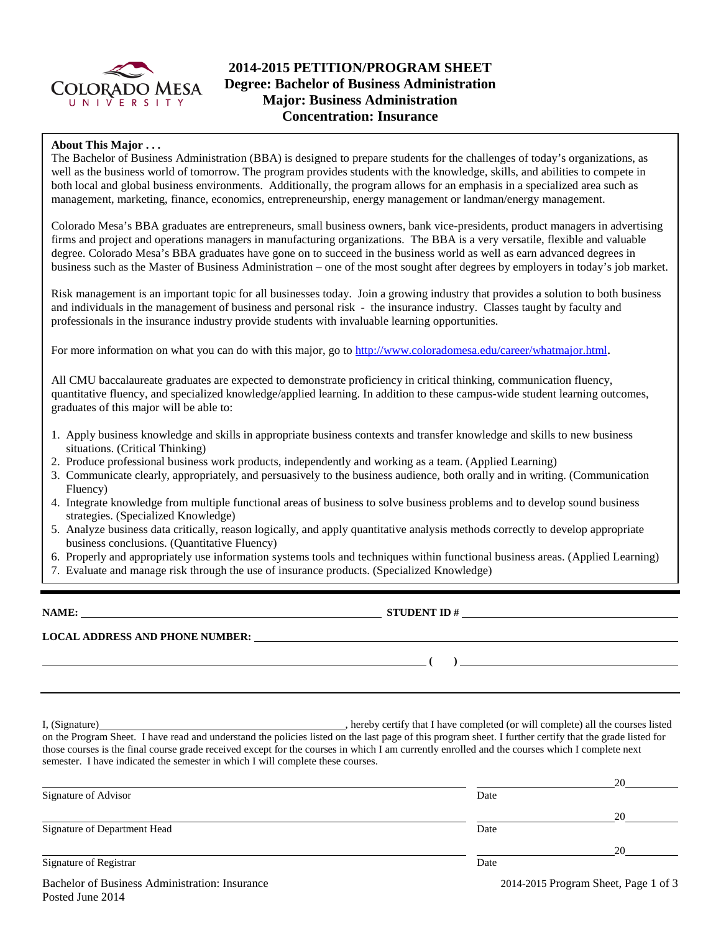

# **2014-2015 PETITION/PROGRAM SHEET Degree: Bachelor of Business Administration Major: Business Administration Concentration: Insurance**

## **About This Major . . .**

The Bachelor of Business Administration (BBA) is designed to prepare students for the challenges of today's organizations, as well as the business world of tomorrow. The program provides students with the knowledge, skills, and abilities to compete in both local and global business environments. Additionally, the program allows for an emphasis in a specialized area such as management, marketing, finance, economics, entrepreneurship, energy management or landman/energy management.

Colorado Mesa's BBA graduates are entrepreneurs, small business owners, bank vice-presidents, product managers in advertising firms and project and operations managers in manufacturing organizations. The BBA is a very versatile, flexible and valuable degree. Colorado Mesa's BBA graduates have gone on to succeed in the business world as well as earn advanced degrees in business such as the Master of Business Administration – one of the most sought after degrees by employers in today's job market.

Risk management is an important topic for all businesses today. Join a growing industry that provides a solution to both business and individuals in the management of business and personal risk - the insurance industry. Classes taught by faculty and professionals in the insurance industry provide students with invaluable learning opportunities.

For more information on what you can do with this major, go to [http://www.coloradomesa.edu/career/whatmajor.html.](http://www.coloradomesa.edu/career/whatmajor.html)

All CMU baccalaureate graduates are expected to demonstrate proficiency in critical thinking, communication fluency, quantitative fluency, and specialized knowledge/applied learning. In addition to these campus-wide student learning outcomes, graduates of this major will be able to:

- 1. Apply business knowledge and skills in appropriate business contexts and transfer knowledge and skills to new business situations. (Critical Thinking)
- 2. Produce professional business work products, independently and working as a team. (Applied Learning)
- 3. Communicate clearly, appropriately, and persuasively to the business audience, both orally and in writing. (Communication Fluency)
- 4. Integrate knowledge from multiple functional areas of business to solve business problems and to develop sound business strategies. (Specialized Knowledge)
- 5. Analyze business data critically, reason logically, and apply quantitative analysis methods correctly to develop appropriate business conclusions. (Quantitative Fluency)
- 6. Properly and appropriately use information systems tools and techniques within functional business areas. (Applied Learning)
- 7. Evaluate and manage risk through the use of insurance products. (Specialized Knowledge)

**NAME: STUDENT ID # LOCAL ADDRESS AND PHONE NUMBER: ( )** 

I, (Signature) , hereby certify that I have completed (or will complete) all the courses listed on the Program Sheet. I have read and understand the policies listed on the last page of this program sheet. I further certify that the grade listed for those courses is the final course grade received except for the courses in which I am currently enrolled and the courses which I complete next semester. I have indicated the semester in which I will complete these courses.

|                                                |      | 20                                   |
|------------------------------------------------|------|--------------------------------------|
| Signature of Advisor                           | Date |                                      |
|                                                |      | 20                                   |
| Signature of Department Head                   | Date |                                      |
|                                                |      | 20                                   |
| Signature of Registrar                         | Date |                                      |
| Bachelor of Business Administration: Insurance |      | 2014-2015 Program Sheet, Page 1 of 3 |

Posted June 2014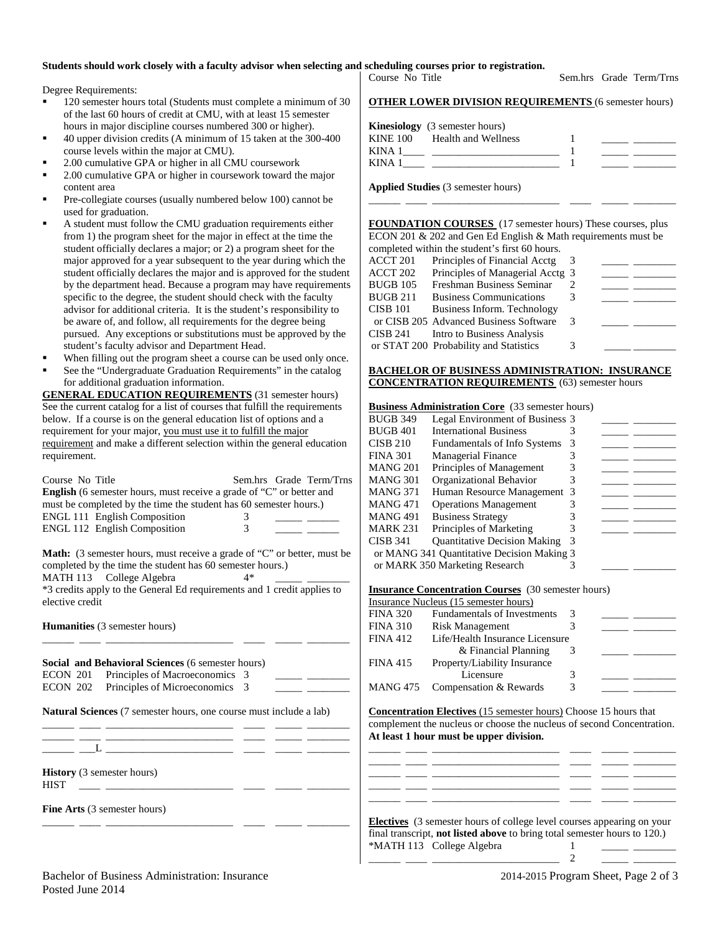## **Students should work closely with a faculty advisor when selecting and scheduling courses prior to registration.**

Degree Requirements:

- 120 semester hours total (Students must complete a minimum of 30 of the last 60 hours of credit at CMU, with at least 15 semester hours in major discipline courses numbered 300 or higher).
- 40 upper division credits (A minimum of 15 taken at the 300-400 course levels within the major at CMU).
- 2.00 cumulative GPA or higher in all CMU coursework
- 2.00 cumulative GPA or higher in coursework toward the major content area
- Pre-collegiate courses (usually numbered below 100) cannot be used for graduation.
- A student must follow the CMU graduation requirements either from 1) the program sheet for the major in effect at the time the student officially declares a major; or 2) a program sheet for the major approved for a year subsequent to the year during which the student officially declares the major and is approved for the student by the department head. Because a program may have requirements specific to the degree, the student should check with the faculty advisor for additional criteria. It is the student's responsibility to be aware of, and follow, all requirements for the degree being pursued. Any exceptions or substitutions must be approved by the student's faculty advisor and Department Head.
- When filling out the program sheet a course can be used only once.
- See the "Undergraduate Graduation Requirements" in the catalog for additional graduation information.

**GENERAL EDUCATION REQUIREMENTS** (31 semester hours) See the current catalog for a list of courses that fulfill the requirements below. If a course is on the general education list of options and a requirement for your major, you must use it to fulfill the major requirement and make a different selection within the general education requirement.

| Course No Title                                                                                                                                                                                                                                    |    | Sem.hrs Grade Term/Trns |
|----------------------------------------------------------------------------------------------------------------------------------------------------------------------------------------------------------------------------------------------------|----|-------------------------|
| <b>English</b> (6 semester hours, must receive a grade of "C" or better and                                                                                                                                                                        |    |                         |
| must be completed by the time the student has 60 semester hours.)                                                                                                                                                                                  |    |                         |
| <b>ENGL 111 English Composition</b>                                                                                                                                                                                                                | 3  |                         |
| <b>ENGL 112 English Composition</b>                                                                                                                                                                                                                | 3  |                         |
| <b>Math:</b> (3 semester hours, must receive a grade of "C" or better, must be<br>completed by the time the student has 60 semester hours.)<br>MATH 113 College Algebra<br>*3 credits apply to the General Ed requirements and 1 credit applies to | 4* |                         |
| elective credit                                                                                                                                                                                                                                    |    |                         |
| <b>Humanities</b> (3 semester hours)                                                                                                                                                                                                               |    |                         |

\_\_\_\_\_\_ \_\_\_\_ \_\_\_\_\_\_\_\_\_\_\_\_\_\_\_\_\_\_\_\_\_\_\_\_ \_\_\_\_ \_\_\_\_\_ \_\_\_\_\_\_\_\_ **Social and Behavioral Sciences** (6 semester hours) ECON 201 Principles of Macroeconomics 3 ECON 202 Principles of Microeconomics 3

**Natural Sciences** (7 semester hours, one course must include a lab) \_\_\_\_\_\_ \_\_\_\_ \_\_\_\_\_\_\_\_\_\_\_\_\_\_\_\_\_\_\_\_\_\_\_\_ \_\_\_\_ \_\_\_\_\_ \_\_\_\_\_\_\_\_

\_\_\_\_\_\_ \_\_\_\_ \_\_\_\_\_\_\_\_\_\_\_\_\_\_\_\_\_\_\_\_\_\_\_\_ \_\_\_\_ \_\_\_\_\_ \_\_\_\_\_\_\_\_

\_\_\_\_\_\_ \_\_\_\_ \_\_\_\_\_\_\_\_\_\_\_\_\_\_\_\_\_\_\_\_\_\_\_\_ \_\_\_\_ \_\_\_\_\_ \_\_\_\_\_\_\_\_  $\rule{1em}{0.7em} \vrule{1em}{0.7em} - \, L =$ 

**History** (3 semester hours)

HIST \_\_\_\_ \_\_\_\_\_\_\_\_\_\_\_\_\_\_\_\_\_\_\_\_\_\_\_\_ \_\_\_\_ \_\_\_\_\_ \_\_\_\_\_\_\_\_

**Fine Arts** (3 semester hours)

|                 |  | encuuning courses prior to regis |
|-----------------|--|----------------------------------|
| Course No Title |  |                                  |

Sem.hrs Grade Term/Trns

#### **OTHER LOWER DIVISION REQUIREMENTS** (6 semester hours)

|        | <b>Kinesiology</b> (3 semester hours) |  |
|--------|---------------------------------------|--|
|        | KINE 100 Health and Wellness          |  |
| KINA 1 |                                       |  |
| KIN A  |                                       |  |

**Applied Studies** (3 semester hours)

**FOUNDATION COURSES** (17 semester hours) These courses, plus ECON 201 & 202 and Gen Ed English & Math requirements must be completed within the student's first 60 hours.

\_\_\_\_\_\_ \_\_\_\_ \_\_\_\_\_\_\_\_\_\_\_\_\_\_\_\_\_\_\_\_\_\_\_\_ \_\_\_\_ \_\_\_\_\_ \_\_\_\_\_\_\_\_

|          | completed within the student s first ob hours. |   |  |
|----------|------------------------------------------------|---|--|
| ACCT 201 | Principles of Financial Acctg                  |   |  |
| ACCT 202 | Principles of Managerial Acctg 3               |   |  |
| BUGB 105 | Freshman Business Seminar                      |   |  |
| BUGB 211 | <b>Business Communications</b>                 |   |  |
| CISB 101 | Business Inform. Technology                    |   |  |
|          | or CISB 205 Advanced Business Software         | 3 |  |
| CISB 241 | Intro to Business Analysis                     |   |  |
|          | or STAT 200 Probability and Statistics         | 3 |  |
|          |                                                |   |  |

### **BACHELOR OF BUSINESS ADMINISTRATION: INSURANCE CONCENTRATION REQUIREMENTS** (63) semester hours

### **Business Administration Core** (33 semester hours)

| <b>BUGB 349</b> | Legal Environment of Business 3            |   |  |
|-----------------|--------------------------------------------|---|--|
| <b>BUGB 401</b> | <b>International Business</b>              |   |  |
| <b>CISB 210</b> | <b>Fundamentals of Info Systems</b>        | 3 |  |
| <b>FINA 301</b> | <b>Managerial Finance</b>                  |   |  |
| MANG 201        | Principles of Management                   |   |  |
| MANG 301        | Organizational Behavior                    |   |  |
| <b>MANG 371</b> | Human Resource Management 3                |   |  |
| <b>MANG 471</b> | <b>Operations Management</b>               |   |  |
| <b>MANG 491</b> | <b>Business Strategy</b>                   |   |  |
| MARK 231        | Principles of Marketing                    |   |  |
| CISB 341        | <b>Quantitative Decision Making</b>        | 3 |  |
|                 | or MANG 341 Quantitative Decision Making 3 |   |  |
|                 | or MARK 350 Marketing Research             |   |  |
|                 |                                            |   |  |

#### **Insurance Concentration Courses** (30 semester hours)

|                 | <b>Institutive Concentration Courses</b> (50 semester hours) |   |  |  |  |  |
|-----------------|--------------------------------------------------------------|---|--|--|--|--|
|                 | Insurance Nucleus (15 semester hours)                        |   |  |  |  |  |
| <b>FINA 320</b> | <b>Fundamentals of Investments</b>                           | 3 |  |  |  |  |
| <b>FINA 310</b> | <b>Risk Management</b>                                       |   |  |  |  |  |
| <b>FINA 412</b> | Life/Health Insurance Licensure                              |   |  |  |  |  |
|                 | & Financial Planning                                         | 3 |  |  |  |  |
| <b>FINA 415</b> | Property/Liability Insurance                                 |   |  |  |  |  |
|                 | Licensure                                                    | 3 |  |  |  |  |
|                 | MANG 475 Compensation & Rewards                              | 3 |  |  |  |  |
|                 |                                                              |   |  |  |  |  |

**Concentration Electives** (15 semester hours) Choose 15 hours that complement the nucleus or choose the nucleus of second Concentration. **At least 1 hour must be upper division.**

\_\_\_\_\_\_ \_\_\_\_ \_\_\_\_\_\_\_\_\_\_\_\_\_\_\_\_\_\_\_\_\_\_\_\_ \_\_\_\_ \_\_\_\_\_ \_\_\_\_\_\_\_\_ \_\_\_\_\_\_ \_\_\_\_ \_\_\_\_\_\_\_\_\_\_\_\_\_\_\_\_\_\_\_\_\_\_\_\_ \_\_\_\_ \_\_\_\_\_ \_\_\_\_\_\_\_\_ \_\_\_\_\_\_ \_\_\_\_ \_\_\_\_\_\_\_\_\_\_\_\_\_\_\_\_\_\_\_\_\_\_\_\_ \_\_\_\_ \_\_\_\_\_ \_\_\_\_\_\_\_\_

| <b>Electives</b> (3 semester hours of college level courses appearing on your    |  |
|----------------------------------------------------------------------------------|--|
| final transcript, <b>not listed above</b> to bring total semester hours to 120.) |  |
| *MATH 113 College Algebra                                                        |  |

\_\_\_\_\_\_ \_\_\_\_ \_\_\_\_\_\_\_\_\_\_\_\_\_\_\_\_\_\_\_\_\_\_\_\_ 2 \_\_\_\_\_ \_\_\_\_\_\_\_\_